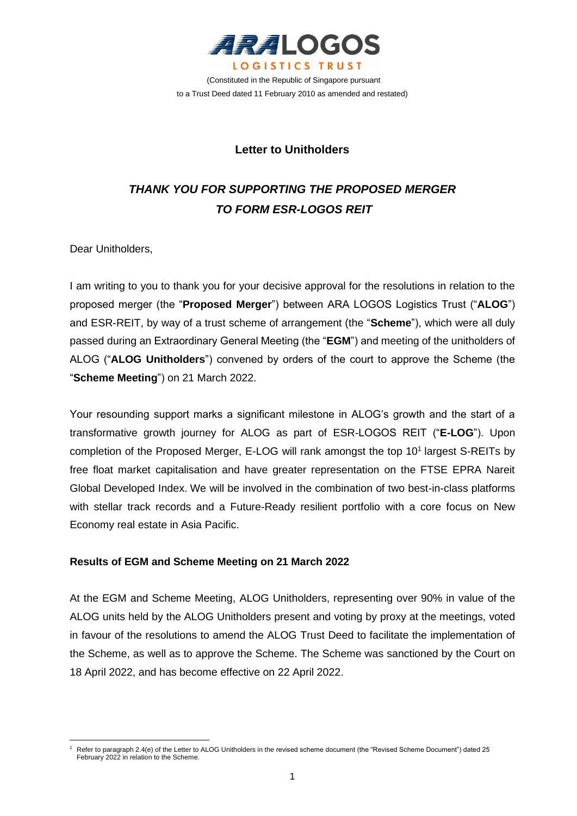

(Constituted in the Republic of Singapore pursuant to a Trust Deed dated 11 February 2010 as amended and restated)

# **Letter to Unitholders**

# *THANK YOU FOR SUPPORTING THE PROPOSED MERGER TO FORM ESR-LOGOS REIT*

Dear Unitholders,

I am writing to you to thank you for your decisive approval for the resolutions in relation to the proposed merger (the "**Proposed Merger**") between ARA LOGOS Logistics Trust ("**ALOG**") and ESR-REIT, by way of a trust scheme of arrangement (the "**Scheme**"), which were all duly passed during an Extraordinary General Meeting (the "**EGM**") and meeting of the unitholders of ALOG ("**ALOG Unitholders**") convened by orders of the court to approve the Scheme (the "**Scheme Meeting**") on 21 March 2022.

Your resounding support marks a significant milestone in ALOG's growth and the start of a transformative growth journey for ALOG as part of ESR-LOGOS REIT ("**E-LOG**"). Upon completion of the Proposed Merger, E-LOG will rank amongst the top 10<sup>1</sup> largest S-REITs by free float market capitalisation and have greater representation on the FTSE EPRA Nareit Global Developed Index. We will be involved in the combination of two best-in-class platforms with stellar track records and a Future-Ready resilient portfolio with a core focus on New Economy real estate in Asia Pacific.

## **Results of EGM and Scheme Meeting on 21 March 2022**

At the EGM and Scheme Meeting, ALOG Unitholders, representing over 90% in value of the ALOG units held by the ALOG Unitholders present and voting by proxy at the meetings, voted in favour of the resolutions to amend the ALOG Trust Deed to facilitate the implementation of the Scheme, as well as to approve the Scheme. The Scheme was sanctioned by the Court on 18 April 2022, and has become effective on 22 April 2022.

<sup>1</sup> Refer to paragraph 2.4(e) of the Letter to ALOG Unitholders in the revised scheme document (the "Revised Scheme Document") dated 25 February 2022 in relation to the Scheme.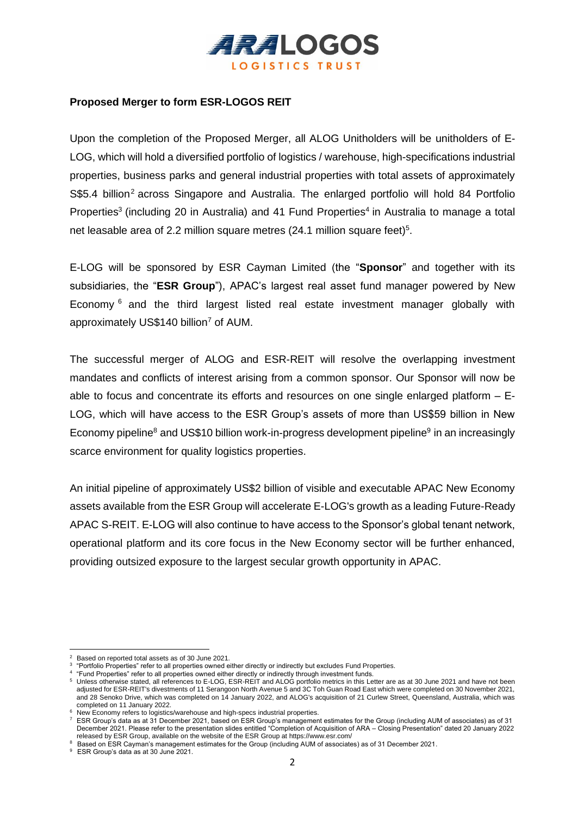

## **Proposed Merger to form ESR-LOGOS REIT**

Upon the completion of the Proposed Merger, all ALOG Unitholders will be unitholders of E-LOG, which will hold a diversified portfolio of logistics / warehouse, high-specifications industrial properties, business parks and general industrial properties with total assets of approximately  $S$5.4$  billion<sup>2</sup> across Singapore and Australia. The enlarged portfolio will hold 84 Portfolio Properties<sup>3</sup> (including 20 in Australia) and 41 Fund Properties<sup>4</sup> in Australia to manage a total net leasable area of 2.2 million square metres (24.1 million square feet)<sup>5</sup>.

E-LOG will be sponsored by ESR Cayman Limited (the "**Sponsor**" and together with its subsidiaries, the "**ESR Group**"), APAC's largest real asset fund manager powered by New Economy <sup>6</sup> and the third largest listed real estate investment manager globally with approximately US\$140 billion<sup>7</sup> of AUM.

The successful merger of ALOG and ESR-REIT will resolve the overlapping investment mandates and conflicts of interest arising from a common sponsor. Our Sponsor will now be able to focus and concentrate its efforts and resources on one single enlarged platform – E-LOG, which will have access to the ESR Group's assets of more than US\$59 billion in New Economy pipeline<sup>8</sup> and US\$10 billion work-in-progress development pipeline<sup>9</sup> in an increasingly scarce environment for quality logistics properties.

An initial pipeline of approximately US\$2 billion of visible and executable APAC New Economy assets available from the ESR Group will accelerate E-LOG's growth as a leading Future-Ready APAC S-REIT. E-LOG will also continue to have access to the Sponsor's global tenant network, operational platform and its core focus in the New Economy sector will be further enhanced, providing outsized exposure to the largest secular growth opportunity in APAC.

<sup>2</sup> Based on reported total assets as of 30 June 2021.

<sup>3</sup> "Portfolio Properties" refer to all properties owned either directly or indirectly but excludes Fund Properties.

<sup>4</sup> "Fund Properties" refer to all properties owned either directly or indirectly through investment funds. <sup>5</sup> Unless otherwise stated, all references to E-LOG, ESR-REIT and ALOG portfolio metrics in this Letter are as at 30 June 2021 and have not been adjusted for ESR-REIT's divestments of 11 Serangoon North Avenue 5 and 3C Toh Guan Road East which were completed on 30 November 2021, and 28 Senoko Drive, which was completed on 14 January 2022, and ALOG's acquisition of 21 Curlew Street, Queensland, Australia, which was completed on 11 January 2022.

<sup>&</sup>lt;sup>6</sup> New Economy refers to logistics/warehouse and high-specs industrial properties.

 $^7$  ESR Group's data as at 31 December 2021, based on ESR Group's management estimates for the Group (including AUM of associates) as of 31 December 2021. Please refer to the presentation slides entitled "Completion of Acquisition of ARA – Closing Presentation" dated 20 January 2022 released by ESR Group, available on the website of the ESR Group at https://www.esr.com/

<sup>8</sup> Based on ESR Cayman's management estimates for the Group (including AUM of associates) as of 31 December 2021.

<sup>9</sup> ESR Group's data as at 30 June 2021.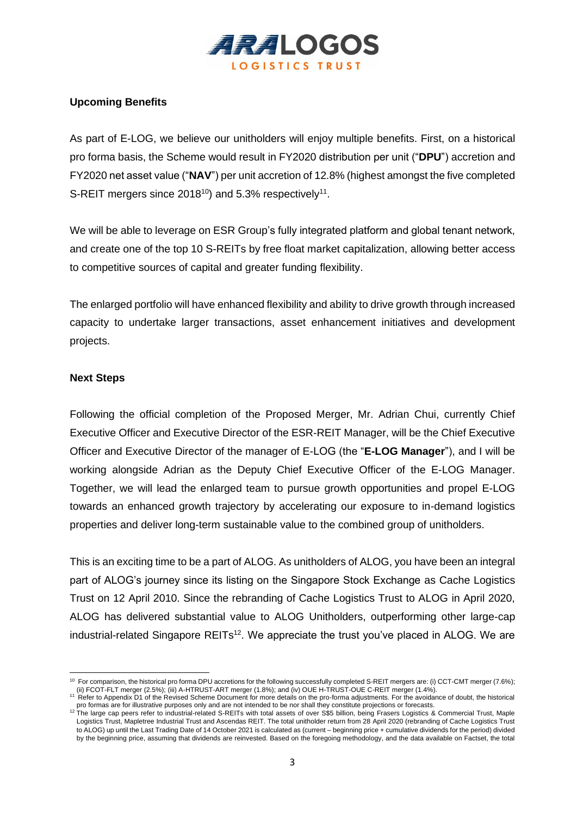

## **Upcoming Benefits**

As part of E-LOG, we believe our unitholders will enjoy multiple benefits. First, on a historical pro forma basis, the Scheme would result in FY2020 distribution per unit ("**DPU**") accretion and FY2020 net asset value ("**NAV**") per unit accretion of 12.8% (highest amongst the five completed S-REIT mergers since 2018<sup>10</sup>) and 5.3% respectively<sup>11</sup>.

We will be able to leverage on ESR Group's fully integrated platform and global tenant network, and create one of the top 10 S-REITs by free float market capitalization, allowing better access to competitive sources of capital and greater funding flexibility.

The enlarged portfolio will have enhanced flexibility and ability to drive growth through increased capacity to undertake larger transactions, asset enhancement initiatives and development projects.

## **Next Steps**

Following the official completion of the Proposed Merger, Mr. Adrian Chui, currently Chief Executive Officer and Executive Director of the ESR-REIT Manager, will be the Chief Executive Officer and Executive Director of the manager of E-LOG (the "**E-LOG Manager**"), and I will be working alongside Adrian as the Deputy Chief Executive Officer of the E-LOG Manager. Together, we will lead the enlarged team to pursue growth opportunities and propel E-LOG towards an enhanced growth trajectory by accelerating our exposure to in-demand logistics properties and deliver long-term sustainable value to the combined group of unitholders.

This is an exciting time to be a part of ALOG. As unitholders of ALOG, you have been an integral part of ALOG's journey since its listing on the Singapore Stock Exchange as Cache Logistics Trust on 12 April 2010. Since the rebranding of Cache Logistics Trust to ALOG in April 2020, ALOG has delivered substantial value to ALOG Unitholders, outperforming other large-cap industrial-related Singapore REITs<sup>12</sup>. We appreciate the trust you've placed in ALOG. We are

<sup>&</sup>lt;sup>10</sup> For comparison, the historical pro forma DPU accretions for the following successfully completed S-REIT mergers are: (i) CCT-CMT merger (7.6%); (ii) FCOT-FLT merger (2.5%); (iii) A-HTRUST-ART merger (1.8%); and (iv) OUE H-TRUST-OUE C-REIT merger (1.4%).

<sup>11</sup> Refer to Appendix D1 of the Revised Scheme Document for more details on the pro-forma adjustments. For the avoidance of doubt, the historical pro formas are for illustrative purposes only and are not intended to be nor shall they constitute projections or forecasts.

<sup>12</sup> The large cap peers refer to industrial-related S-REITs with total assets of over S\$5 billion, being Frasers Logistics & Commercial Trust, Maple Logistics Trust, Mapletree Industrial Trust and Ascendas REIT. The total unitholder return from 28 April 2020 (rebranding of Cache Logistics Trust to ALOG) up until the Last Trading Date of 14 October 2021 is calculated as (current – beginning price + cumulative dividends for the period) divided by the beginning price, assuming that dividends are reinvested. Based on the foregoing methodology, and the data available on Factset, the total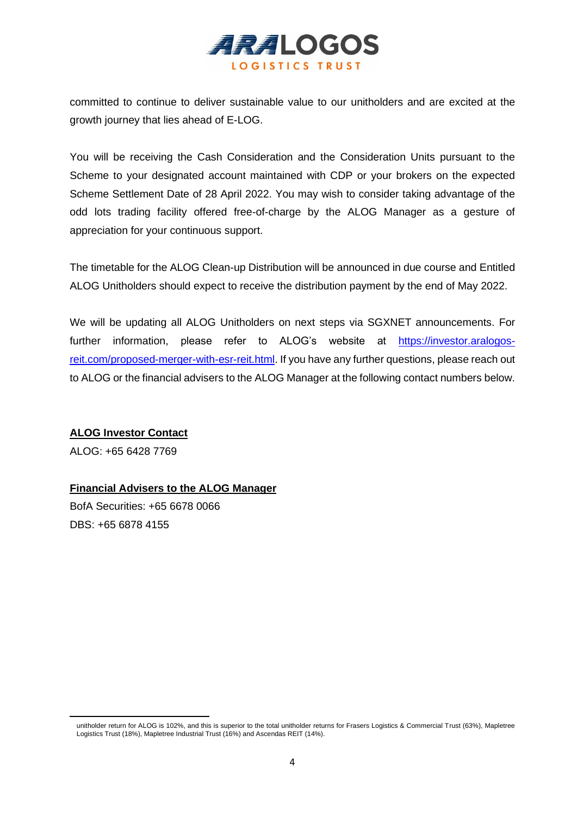

committed to continue to deliver sustainable value to our unitholders and are excited at the growth journey that lies ahead of E-LOG.

You will be receiving the Cash Consideration and the Consideration Units pursuant to the Scheme to your designated account maintained with CDP or your brokers on the expected Scheme Settlement Date of 28 April 2022. You may wish to consider taking advantage of the odd lots trading facility offered free-of-charge by the ALOG Manager as a gesture of appreciation for your continuous support.

The timetable for the ALOG Clean-up Distribution will be announced in due course and Entitled ALOG Unitholders should expect to receive the distribution payment by the end of May 2022.

We will be updating all ALOG Unitholders on next steps via SGXNET announcements. For further information, please refer to ALOG's website at [https://investor.aralogos](https://investor.aralogos-reit.com/proposed-merger-with-esr-reit.html)[reit.com/proposed-merger-with-esr-reit.html.](https://investor.aralogos-reit.com/proposed-merger-with-esr-reit.html) If you have any further questions, please reach out to ALOG or the financial advisers to the ALOG Manager at the following contact numbers below.

## **ALOG Investor Contact**

ALOG: +65 6428 7769

## **Financial Advisers to the ALOG Manager**

BofA Securities: +65 6678 0066 DBS: +65 6878 4155

unitholder return for ALOG is 102%, and this is superior to the total unitholder returns for Frasers Logistics & Commercial Trust (63%), Mapletree Logistics Trust (18%), Mapletree Industrial Trust (16%) and Ascendas REIT (14%).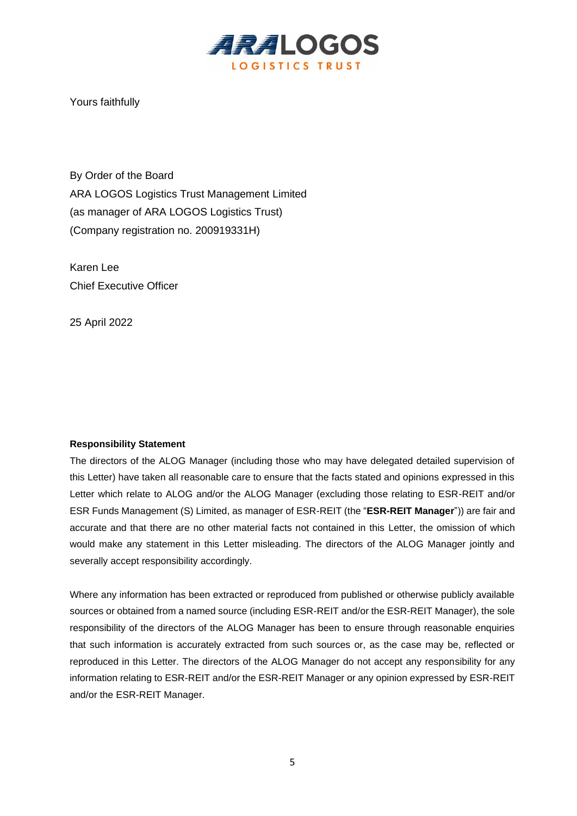

Yours faithfully

By Order of the Board ARA LOGOS Logistics Trust Management Limited (as manager of ARA LOGOS Logistics Trust) (Company registration no. 200919331H)

Karen Lee Chief Executive Officer

25 April 2022

#### **Responsibility Statement**

The directors of the ALOG Manager (including those who may have delegated detailed supervision of this Letter) have taken all reasonable care to ensure that the facts stated and opinions expressed in this Letter which relate to ALOG and/or the ALOG Manager (excluding those relating to ESR-REIT and/or ESR Funds Management (S) Limited, as manager of ESR-REIT (the "**ESR-REIT Manager**")) are fair and accurate and that there are no other material facts not contained in this Letter, the omission of which would make any statement in this Letter misleading. The directors of the ALOG Manager jointly and severally accept responsibility accordingly.

Where any information has been extracted or reproduced from published or otherwise publicly available sources or obtained from a named source (including ESR-REIT and/or the ESR-REIT Manager), the sole responsibility of the directors of the ALOG Manager has been to ensure through reasonable enquiries that such information is accurately extracted from such sources or, as the case may be, reflected or reproduced in this Letter. The directors of the ALOG Manager do not accept any responsibility for any information relating to ESR-REIT and/or the ESR-REIT Manager or any opinion expressed by ESR-REIT and/or the ESR-REIT Manager.